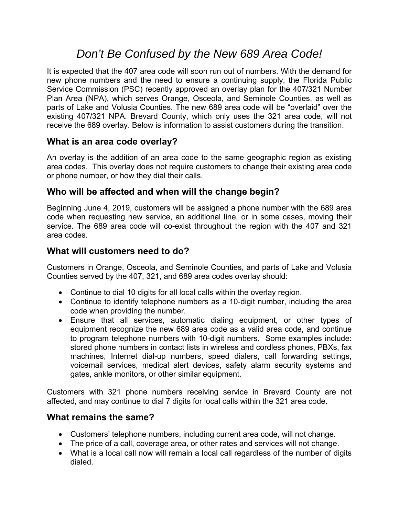# *Don't Be Confused by the New 689 Area Code!*

It is expected that the 407 area code will soon run out of numbers. With the demand for new phone numbers and the need to ensure a continuing supply, the Florida Public Service Commission (PSC) recently approved an overlay plan for the 407/321 Number Plan Area (NPA), which serves Orange, Osceola, and Seminole Counties, as well as parts of Lake and Volusia Counties. The new 689 area code will be "overlaid" over the existing 407/321 NPA. Brevard County, which only uses the 321 area code, will not receive the 689 overlay. Below is information to assist customers during the transition.

## **What is an area code overlay?**

An overlay is the addition of an area code to the same geographic region as existing area codes. This overlay does not require customers to change their existing area code or phone number, or how they dial their calls.

# **Who will be affected and when will the change begin?**

Beginning June 4, 2019, customers will be assigned a phone number with the 689 area code when requesting new service, an additional line, or in some cases, moving their service. The 689 area code will co-exist throughout the region with the 407 and 321 area codes.

## **What will customers need to do?**

Customers in Orange, Osceola, and Seminole Counties, and parts of Lake and Volusia Counties served by the 407, 321, and 689 area codes overlay should:

- Continue to dial 10 digits for all local calls within the overlay region.
- Continue to identify telephone numbers as a 10-digit number, including the area code when providing the number.
- Ensure that all services, automatic dialing equipment, or other types of equipment recognize the new 689 area code as a valid area code, and continue to program telephone numbers with 10-digit numbers. Some examples include: stored phone numbers in contact lists in wireless and cordless phones, PBXs, fax machines, Internet dial-up numbers, speed dialers, call forwarding settings, voicemail services, medical alert devices, safety alarm security systems and gates, ankle monitors, or other similar equipment.

Customers with 321 phone numbers receiving service in Brevard County are not affected, and may continue to dial 7 digits for local calls within the 321 area code.

#### **What remains the same?**

- Customers' telephone numbers, including current area code, will not change.
- The price of a call, coverage area, or other rates and services will not change.
- What is a local call now will remain a local call regardless of the number of digits dialed.